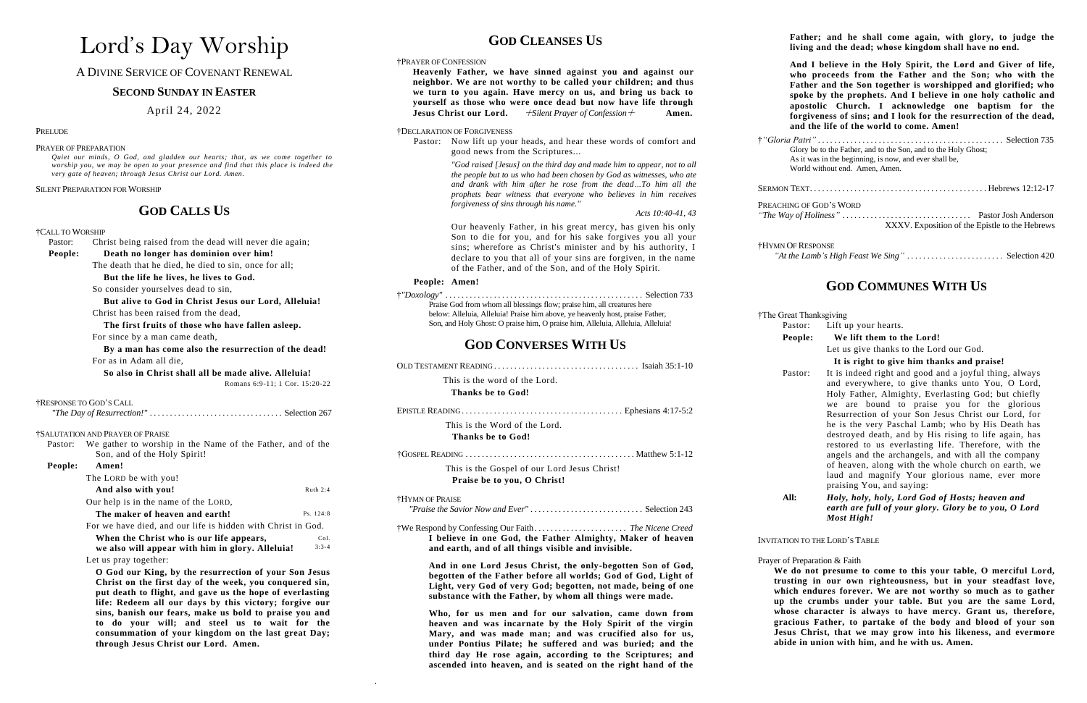# Lord's Day Worship

## A DIVINE SERVICE OF COVENANT RENEWAL

## **SECOND SUNDAY IN EASTER**

April 24, 2022

## PRELUDE

#### PRAYER OF PREPARATION

*Quiet our minds, O God, and gladden our hearts; that, as we come together to worship you, we may be open to your presence and find that this place is indeed the very gate of heaven; through Jesus Christ our Lord. Amen.* 

## SILENT PREPARATION FOR WORSHIP

## **GOD CALLS US**

#### †CALL TO WORSHIP

| Pastor: | Christ being raised from the dead will never die again;                                                            |
|---------|--------------------------------------------------------------------------------------------------------------------|
| People: | Death no longer has dominion over him!                                                                             |
|         | The death that he died, he died to sin, once for all;                                                              |
|         | But the life he lives, he lives to God.                                                                            |
|         | So consider yourselves dead to sin,                                                                                |
|         | But alive to God in Christ Jesus our Lord, Alleluia!                                                               |
|         | Christ has been raised from the dead,                                                                              |
|         | The first fruits of those who have fallen asleep.                                                                  |
|         | For since by a man came death,                                                                                     |
|         | By a man has come also the resurrection of the dead!                                                               |
|         | For as in Adam all die,                                                                                            |
|         | So also in Christ shall all be made alive. Alleluia!                                                               |
|         | Romans 6:9-11; 1 Cor. 15:20-22                                                                                     |
|         | †RESPONSE TO GOD'S CALL                                                                                            |
|         |                                                                                                                    |
|         |                                                                                                                    |
|         | <i><b>†SALUTATION AND PRAYER OF PRAISE</b></i>                                                                     |
| Pastor: | We gather to worship in the Name of the Father, and of the                                                         |
|         | Son, and of the Holy Spirit!                                                                                       |
| People: | Amen!                                                                                                              |
|         | The LORD be with you!                                                                                              |
|         | And also with you!<br>Ruth 2:4                                                                                     |
|         | Our help is in the name of the LORD,                                                                               |
|         | The maker of heaven and earth!<br>Ps. 124:8                                                                        |
|         | For we have died, and our life is hidden with Christ in God.                                                       |
|         | When the Christ who is our life appears,<br>Col.                                                                   |
|         | $3:3-4$<br>we also will appear with him in glory. Alleluia!                                                        |
|         | Let us pray together:                                                                                              |
|         | O God our King, by the resurrection of your Son Jesus                                                              |
|         | Christ on the first day of the week, you conquered sin,                                                            |
|         | put death to flight, and gave us the hope of everlasting<br>life: Redeem all our days by this victory; forgive our |
|         |                                                                                                                    |

**Heavenly Father, we have sinned against you and against our neighbor. We are not worthy to be called your children; and thus we turn to you again. Have mercy on us, and bring us back to yourself as those who were once dead but now have life through Jesus Christ our Lord.**  $\rightarrow$  *Silent Prayer of Confession*  $+$  **Amen.** 

**sins, banish our fears, make us bold to praise you and to do your will; and steel us to wait for the consummation of your kingdom on the last great Day; through Jesus Christ our Lord. Amen.**

## **GOD CLEANSES US**

## †PRAYER OF CONFESSION

## †DECLARATION OF FORGIVENESS

Pastor: Now lift up your heads, and hear these words of comfort and good news from the Scriptures...

> *"God raised [Jesus] on the third day and made him to appear, not to all the people but to us who had been chosen by God as witnesses, who ate and drank with him after he rose from the dead…To him all the prophets bear witness that everyone who believes in him receives forgiveness of sins through his name."*

#### *Acts 10:40-41, 43*

Our heavenly Father, in his great mercy, has given his only Son to die for you, and for his sake forgives you all your sins; wherefore as Christ's minister and by his authority, I declare to you that all of your sins are forgiven, in the name of the Father, and of the Son, and of the Holy Spirit.

### **People: Amen!**

| Praise God from whom all blessings flow; praise him, all creatures here        |
|--------------------------------------------------------------------------------|
| below: Alleluia, Alleluia! Praise him above, ye heavenly host, praise Father,  |
| Son, and Holy Ghost: O praise him, O praise him, Alleluia, Alleluia, Alleluia! |
|                                                                                |

## **GOD CONVERSES WITH US**

| This is the word of the Lord.                   |  |  |
|-------------------------------------------------|--|--|
| Thanks be to God!                               |  |  |
|                                                 |  |  |
| This is the Word of the Lord.                   |  |  |
| Thanks be to God!                               |  |  |
|                                                 |  |  |
| This is the Gospel of our Lord Jesus Christ!    |  |  |
| Praise be to you, O Christ!                     |  |  |
| †HYMN OF PRAISE                                 |  |  |
| "Praise the Savior Now and Ever"  Selection 243 |  |  |

†We Respond by Confessing Our Faith....................... *The Nicene Creed* **I believe in one God, the Father Almighty, Maker of heaven and earth, and of all things visible and invisible.**

> **And in one Lord Jesus Christ, the only-begotten Son of God, begotten of the Father before all worlds; God of God, Light of Light, very God of very God; begotten, not made, being of one substance with the Father, by whom all things were made.**

> **Who, for us men and for our salvation, came down from heaven and was incarnate by the Holy Spirit of the virgin Mary, and was made man; and was crucified also for us, under Pontius Pilate; he suffered and was buried; and the third day He rose again, according to the Scriptures; and ascended into heaven, and is seated on the right hand of the**

**Father; and he shall come again, with glory, to judge the living and the dead; whose kingdom shall have no end.** 

**And I believe in the Holy Spirit, the Lord and Giver of life, who proceeds from the Father and the Son; who with the Father and the Son together is worshipped and glorified; who spoke by the prophets. And I believe in one holy catholic and apostolic Church. I acknowledge one baptism for the forgiveness of sins; and I look for the resurrection of the dead, and the life of the world to come. Amen!**  †*"Gloria Patri"* ................................ .............. Selection 735

Glory be to the Father, and to the Son, and to the Holy Ghost; As it was in the beginning, is now, and ever shall be, World without end. Amen, Amen. SERMON TEXT................................ ............ Hebrews 12:12-17 PREACHING OF GOD'S WORD *"The Way of Holiness"* ................................ Pastor Josh Anderson XXXV. Exposition of the Epistle to the Hebrews

†HYMN OF RESPONSE

*"At the Lamb's High Feast We Sing"* ........................ Selection 420

## **GOD COMMUNES WITH US**

## †The Great Thanksgiving

Pastor: Lift up your hearts.

## **People: We lift them to the Lord!**

Let us give thanks to the Lord our God.

## **It is right to give him thanks and praise!**

Pastor: It is indeed right and good and a joyful thing, always and everywhere, to give thanks unto You, O Lord, Holy Father, Almighty, Everlasting God; but chiefly we are bound to praise you for the glorious Resurrection of your Son Jesus Christ our Lord, for he is the very Paschal Lamb; who by His Death has destroyed death, and by His rising to life again, has restored to us everlasting life. Therefore, with the angels and the archangels, and with all the company of heaven, along with the whole church on earth, we laud and magnify Your glorious name, ever more praising You, and saying:

**All:** *Holy, holy, holy, Lord God of Hosts; heaven and earth are full of your glory. Glory be to you, O Lord Most High!*

## INVITATION TO THE LORD'S TABLE

## Prayer of Preparation & Faith

**We do not presume to come to this your table, O merciful Lord, trusting in our own righteousness, but in your steadfast love, which endures forever. We are not worthy so much as to gather up the crumbs under your table. But you are the same Lord, whose character is always to have mercy. Grant us, therefore, gracious Father, to partake of the body and blood of your son Jesus Christ, that we may grow into his likeness, and evermore abide in union with him, and he with us. Amen.**